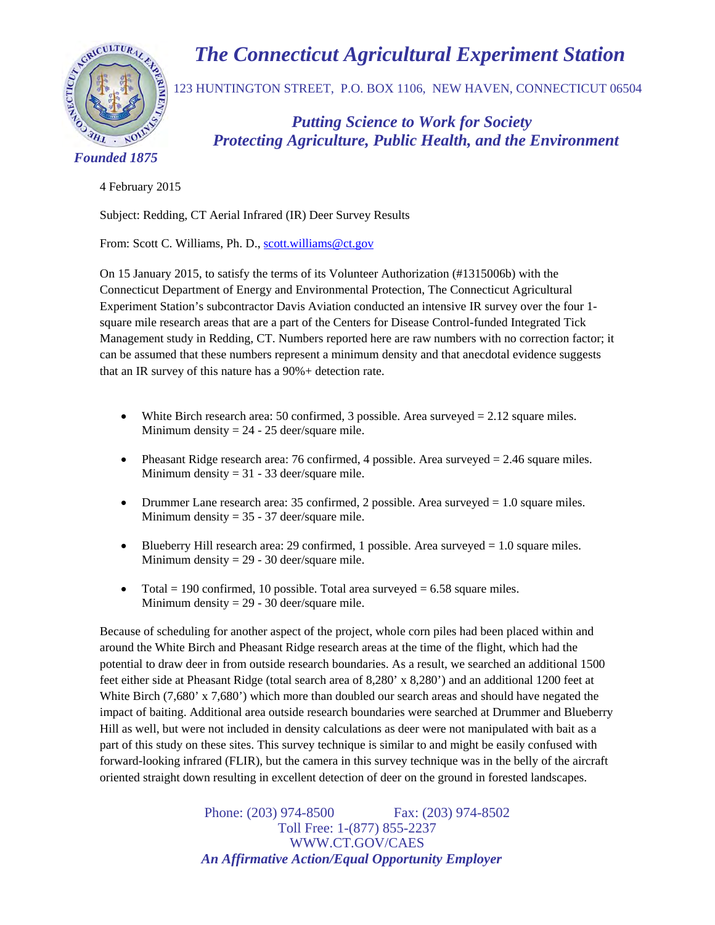



123 HUNTINGTON STREET, P.O. BOX 1106, NEW HAVEN, CONNECTICUT 06504

**The Connecticut Agricultural Experiment Connection of Agricultural Experiment Connection STREET, P.O. BOX 1106, NEW HAVEN, CONNECTION STREET, P.O. BOX 1106, NEW HAVEN, CONNECTION STREET, P.O. BOX 1106, NEW HAVEN, CONNECTI**  *Protecting Agriculture, Public Health, and the Environment* 

 *Founded 1875*

4 February 2015

Subject: Redding, CT Aerial Infrared (IR) Deer Survey Results

From: Scott C. Williams, Ph. D., scott.williams@ct.gov

On 15 January 2015, to satisfy the terms of its Volunteer Authorization (#1315006b) with the Connecticut Department of Energy and Environmental Protection, The Connecticut Agricultural Experiment Station's subcontractor Davis Aviation conducted an intensive IR survey over the four 1 square mile research areas that are a part of the Centers for Disease Control-funded Integrated Tick Management study in Redding, CT. Numbers reported here are raw numbers with no correction factor; it can be assumed that these numbers represent a minimum density and that anecdotal evidence suggests that an IR survey of this nature has a 90%+ detection rate.

- White Birch research area: 50 confirmed, 3 possible. Area surveyed  $= 2.12$  square miles. Minimum density  $= 24 - 25$  deer/square mile.
- Pheasant Ridge research area: 76 confirmed, 4 possible. Area surveyed = 2.46 square miles. Minimum density  $= 31 - 33$  deer/square mile.
- Drummer Lane research area: 35 confirmed, 2 possible. Area surveyed  $= 1.0$  square miles. Minimum density  $= 35 - 37$  deer/square mile.
- Blueberry Hill research area: 29 confirmed, 1 possible. Area surveyed  $= 1.0$  square miles. Minimum density  $= 29 - 30$  deer/square mile.
- Total = 190 confirmed, 10 possible. Total area surveyed =  $6.58$  square miles. Minimum density  $= 29 - 30$  deer/square mile.

Because of scheduling for another aspect of the project, whole corn piles had been placed within and around the White Birch and Pheasant Ridge research areas at the time of the flight, which had the potential to draw deer in from outside research boundaries. As a result, we searched an additional 1500 feet either side at Pheasant Ridge (total search area of 8,280' x 8,280') and an additional 1200 feet at White Birch (7,680' x 7,680') which more than doubled our search areas and should have negated the impact of baiting. Additional area outside research boundaries were searched at Drummer and Blueberry Hill as well, but were not included in density calculations as deer were not manipulated with bait as a part of this study on these sites. This survey technique is similar to and might be easily confused with forward-looking infrared (FLIR), but the camera in this survey technique was in the belly of the aircraft oriented straight down resulting in excellent detection of deer on the ground in forested landscapes.

> Phone: (203) 974-8500 Fax: (203) 974-8502 Toll Free: 1-(877) 855-2237 WWW.CT.GOV/CAES  *An Affirmative Action/Equal Opportunity Employer*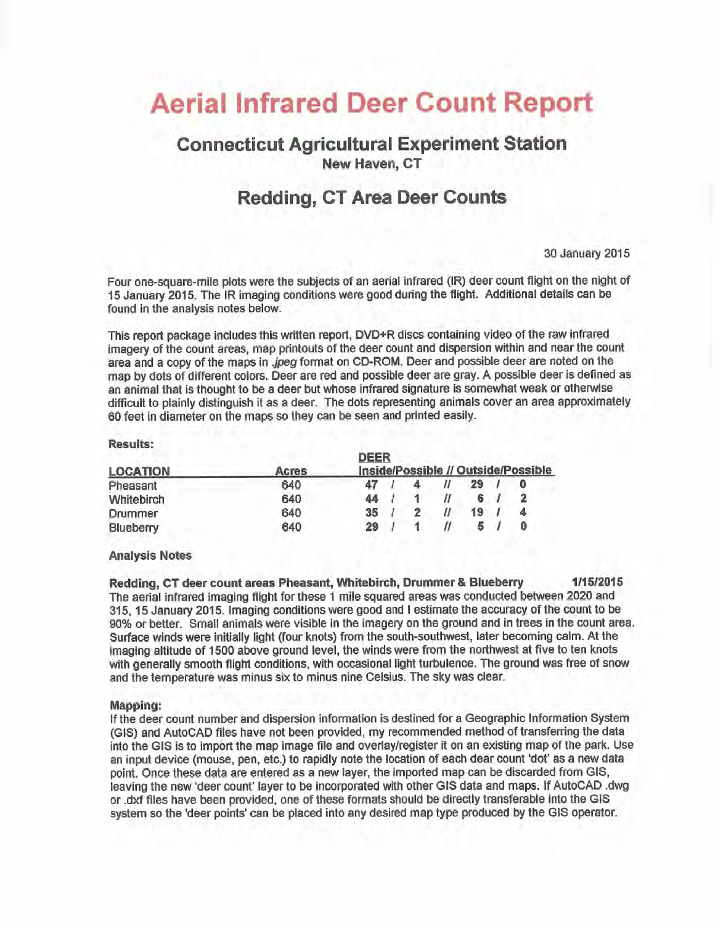# **Aerial Infrared Deer Count Report**

## **Connecticut Agricultural Experiment Station New Haven, CT**

## **Redding, CT Area Deer Counts**

30 January 2015

Four one-square-mile plots were the subjects of an aerial infrared (IR) deer count flight on the night of 15 January 2015. The IR imaging conditions were good during the flight. Additional details can be found in the analysis notes below.

This report package includes this written report, DVD+R discs containing video of the raw infrared imagery of the count areas, map printouts of the deer count and dispersion within and near the count area and a copy of the maps in *.jpeg* format on CD-ROM. Deer and possible deer are noted on the map by dots of different colors. Deer are red and possible deer are gray. A possible deer is defined as an animal that is thought to be a deer but whose infrared signature is somewhat weak or otherwise difficult to plainly distinguish it as a deer. The dots representing animals cover an area approximately 60 feet in diameter on the maps so they can be seen and printed easily.

#### **Results:**

|     | UEEK<br>Inside/Possible // Outside/Possible |  |  |  |    |  |  |
|-----|---------------------------------------------|--|--|--|----|--|--|
|     |                                             |  |  |  |    |  |  |
| 640 |                                             |  |  |  | 29 |  |  |
| 640 | 44                                          |  |  |  |    |  |  |
| 640 | 35                                          |  |  |  | 19 |  |  |
| 640 | 29                                          |  |  |  |    |  |  |
|     | Acres                                       |  |  |  |    |  |  |

#### **Analysis Notes**

Redding, CT deer count areas Pheasant, Whitebirch, Drummer & Blueberry 1/15/2015 The aerial infrared imaging flight for these 1 mile squared areas was conducted between 2020 and 315, 15 January 2015. Imaging conditions were good and I estimate the accuracy of the count to be 90% or better. Small animals were visible in the imagery on the ground and in trees in the count area. Surface winds were initially light (four knots) from the south-southwest, later becoming calm. At the imaging altitude of 1500 above ground level, the winds were from the northwest at five to ten knots with generally smooth flight conditions, with occasional light turbulence. The ground was free of snow and the temperature was minus six to minus nine Celsius. The sky was clear.

#### **Mapping:**

If the deer count number and dispersion information is destined for a Geographic Information System (GIS) and AutoCAD files have not been provided, my recommended method of transferring the data into the GIS is to import the map image file and overlay/register it on an existing map of the park. Use an input device (mouse, pen, etc.) to rapidly note the location of each dear count 'dot' as a new data point. Once these data are entered as a new layer, the imported map can be discarded from GIS, leaving the new 'deer count' layer to be incorporated with other GIS data and maps. If AutoCAD .dwg or dxf files have been provided, one of these formats should be directly transferable into the GIS system so the 'deer points' can be placed into any desired map type produced by the GIS operator.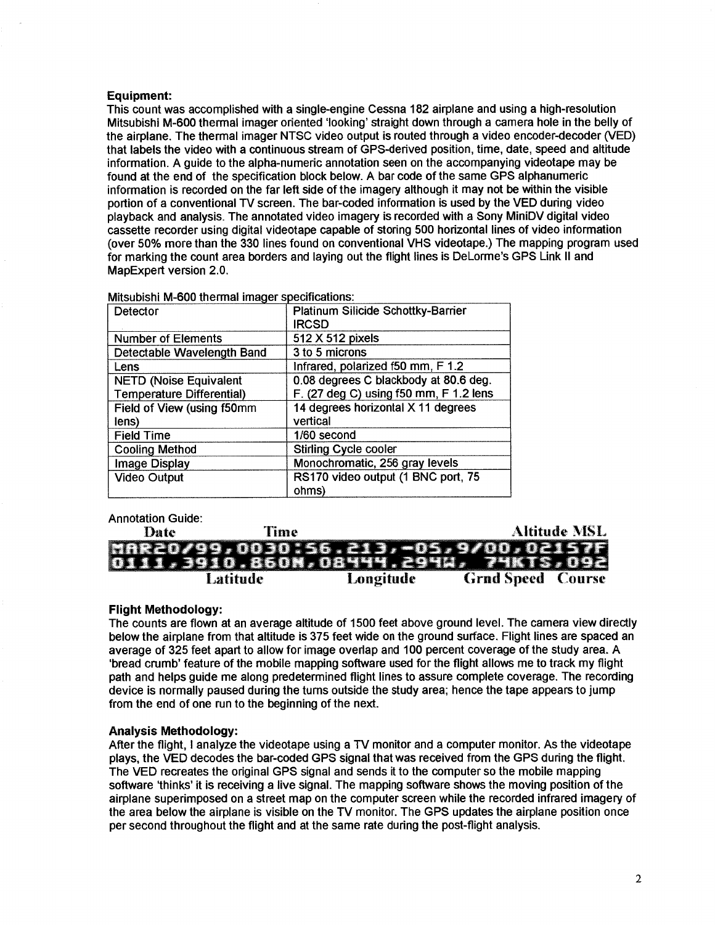#### **Equipment:**

This count was accomplished with a single-engine Cessna 182 airplane and using a high-resolution Mitsubishi M-600 thermal imager oriented 'looking' straight down through a camera hole in the belly of the airplane. The thermal imager NTSC video output is routed through a video encoder-decoder (VED) that labels the video with a continuous stream of GPS-derived position, time, date, speed and altitude information. A quide to the alpha-numeric annotation seen on the accompanying videotape may be found at the end of the specification block below. A bar code of the same GPS alphanumeric information is recorded on the far left side of the imagery although it may not be within the visible portion of a conventional TV screen. The bar-coded information is used by the VED during video playback and analysis. The annotated video imagery is recorded with a Sony MiniDV digital video cassette recorder using digital videotape capable of storing 500 horizontal lines of video information (over 50% more than the 330 lines found on conventional VHS videotape.) The mapping program used for marking the count area borders and laying out the flight lines is DeLorme's GPS Link II and MapExpert version 2.0.

| Detector                         | Platinum Silicide Schottky-Barrier     |
|----------------------------------|----------------------------------------|
|                                  | <b>IRCSD</b>                           |
| <b>Number of Elements</b>        | 512 X 512 pixels                       |
| Detectable Wavelength Band       | 3 to 5 microns                         |
| Lens                             | Infrared, polarized f50 mm, F 1.2      |
| <b>NETD (Noise Equivalent</b>    | 0.08 degrees C blackbody at 80.6 deg.  |
| <b>Temperature Differential)</b> | F. (27 deg C) using f50 mm, F 1.2 lens |
| Field of View (using f50mm       | 14 degrees horizontal X 11 degrees     |
| lens)                            | vertical                               |
| <b>Field Time</b>                | 1/60 second                            |
| <b>Cooling Method</b>            | <b>Stirling Cycle cooler</b>           |
| Image Display                    | Monochromatic, 256 gray levels         |
| <b>Video Output</b>              | RS170 video output (1 BNC port, 75     |
|                                  | ohms)                                  |
|                                  |                                        |

Mitsubishi M-600 thermal imager specifications:

### Annotation Guide:

| Date | Time     |           | Altitude MSL                         |
|------|----------|-----------|--------------------------------------|
|      |          |           | MAR20/99,0030:56.213,-05,9/00,02157F |
|      |          |           | 1,3910.860N,08444.294W, 74KTS,092    |
|      | Latitude | Longitude | <b>Grnd Speed Course</b>             |

#### **Flight Methodology:**

The counts are flown at an average altitude of 1500 feet above ground level. The camera view directly below the airplane from that altitude is 375 feet wide on the ground surface. Flight lines are spaced an average of 325 feet apart to allow for image overlap and 100 percent coverage of the study area. A 'bread crumb' feature of the mobile mapping software used for the flight allows me to track my flight path and helps quide me along predetermined flight lines to assure complete coverage. The recording device is normally paused during the turns outside the study area; hence the tape appears to jump from the end of one run to the beginning of the next.

#### **Analysis Methodology:**

After the flight, I analyze the videotape using a TV monitor and a computer monitor. As the videotape plays, the VED decodes the bar-coded GPS signal that was received from the GPS during the flight. The VED recreates the original GPS signal and sends it to the computer so the mobile mapping software 'thinks' it is receiving a live signal. The mapping software shows the moving position of the airplane superimposed on a street map on the computer screen while the recorded infrared imagery of the area below the airplane is visible on the TV monitor. The GPS updates the airplane position once per second throughout the flight and at the same rate during the post-flight analysis.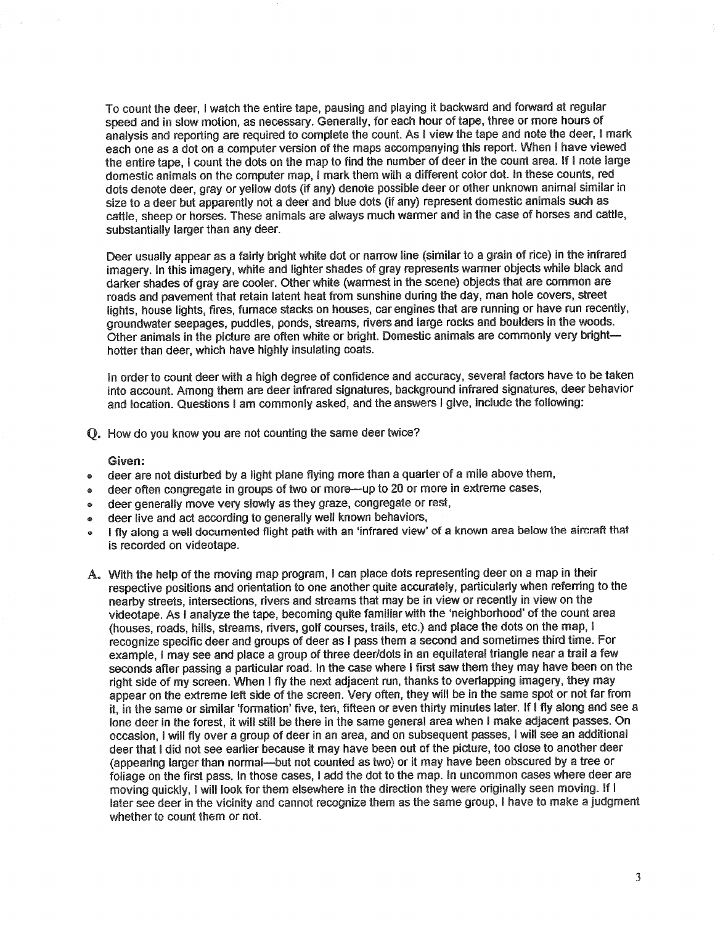To count the deer, I watch the entire tape, pausing and playing it backward and forward at regular speed and in slow motion, as necessary. Generally, for each hour of tape, three or more hours of analysis and reporting are required to complete the count. As I view the tape and note the deer, I mark each one as a dot on a computer version of the maps accompanying this report. When I have viewed the entire tape, I count the dots on the map to find the number of deer in the count area. If I note large domestic animals on the computer map. I mark them with a different color dot. In these counts, red dots denote deer, gray or yellow dots (if any) denote possible deer or other unknown animal similar in size to a deer but apparently not a deer and blue dots (if any) represent domestic animals such as cattle, sheep or horses. These animals are always much warmer and in the case of horses and cattle, substantially larger than any deer.

Deer usually appear as a fairly bright white dot or narrow line (similar to a grain of rice) in the infrared imagery. In this imagery, white and lighter shades of gray represents warmer objects while black and darker shades of gray are cooler. Other white (warmest in the scene) objects that are common are roads and pavement that retain latent heat from sunshine during the day, man hole covers, street lights, house lights, fires, furnace stacks on houses, car engines that are running or have run recently. groundwater seepages, puddles, ponds, streams, rivers and large rocks and boulders in the woods. Other animals in the picture are often white or bright. Domestic animals are commonly very brighthotter than deer, which have highly insulating coats.

In order to count deer with a high degree of confidence and accuracy, several factors have to be taken into account. Among them are deer infrared signatures, background infrared signatures, deer behavior and location. Questions I am commonly asked, and the answers I give, include the following:

Q. How do you know you are not counting the same deer twice?

#### Given:

- deer are not disturbed by a light plane flying more than a quarter of a mile above them,  $\bullet$
- deer often congregate in groups of two or more-up to 20 or more in extreme cases.  $\bullet$
- deer generally move very slowly as they graze, congregate or rest,  $\bullet$
- deer live and act according to generally well known behaviors,
- I fly along a well documented flight path with an 'infrared view' of a known area below the aircraft that  $\alpha$ is recorded on videotape.
- A. With the help of the moving map program, I can place dots representing deer on a map in their respective positions and orientation to one another quite accurately, particularly when referring to the nearby streets, intersections, rivers and streams that may be in view or recently in view on the videotape. As I analyze the tape, becoming quite familiar with the 'neighborhood' of the count area (houses, roads, hills, streams, rivers, golf courses, trails, etc.) and place the dots on the map, I recognize specific deer and groups of deer as I pass them a second and sometimes third time. For example, I may see and place a group of three deer/dots in an equilateral triangle near a trail a few seconds after passing a particular road. In the case where I first saw them they may have been on the right side of my screen. When I fly the next adjacent run, thanks to overlapping imagery, they may appear on the extreme left side of the screen. Very often, they will be in the same spot or not far from it. in the same or similar 'formation' five, ten, fifteen or even thirty minutes later. If I fly along and see a lone deer in the forest, it will still be there in the same general area when I make adjacent passes. On occasion. I will fly over a group of deer in an area, and on subsequent passes, I will see an additional deer that I did not see earlier because it may have been out of the picture, too close to another deer (appearing larger than normal--but not counted as two) or it may have been obscured by a tree or foliage on the first pass. In those cases, I add the dot to the map. In uncommon cases where deer are moving quickly. I will look for them elsewhere in the direction they were originally seen moving. If I later see deer in the vicinity and cannot recognize them as the same group, I have to make a judgment whether to count them or not.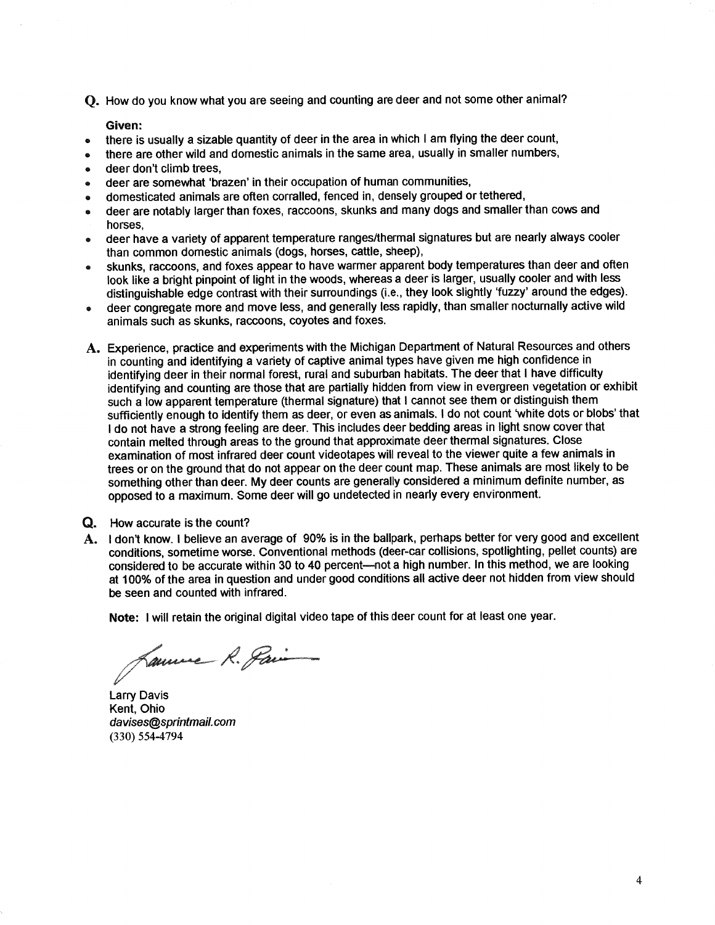O. How do you know what you are seeing and counting are deer and not some other animal?

Given:

- there is usually a sizable quantity of deer in the area in which I am flying the deer count,  $\bullet$
- there are other wild and domestic animals in the same area, usually in smaller numbers,
- deer don't climb trees.  $\bullet$
- deer are somewhat 'brazen' in their occupation of human communities,  $\bullet$
- domesticated animals are often corralled, fenced in, densely grouped or tethered,
- deer are notably larger than foxes, raccoons, skunks and many dogs and smaller than cows and  $\blacksquare$ horses.
- deer have a variety of apparent temperature ranges/thermal signatures but are nearly always cooler  $\bullet$ than common domestic animals (dogs, horses, cattle, sheep),
- skunks, raccoons, and foxes appear to have warmer apparent body temperatures than deer and often look like a bright pinpoint of light in the woods, whereas a deer is larger, usually cooler and with less distinguishable edge contrast with their surroundings (i.e., they look slightly 'fuzzy' around the edges).
- deer congregate more and move less, and generally less rapidly, than smaller nocturnally active wild animals such as skunks, raccoons, coyotes and foxes.
- A. Experience, practice and experiments with the Michigan Department of Natural Resources and others in counting and identifying a variety of captive animal types have given me high confidence in identifying deer in their normal forest, rural and suburban habitats. The deer that I have difficulty identifying and counting are those that are partially hidden from view in evergreen vegetation or exhibit such a low apparent temperature (thermal signature) that I cannot see them or distinguish them sufficiently enough to identify them as deer, or even as animals. I do not count 'white dots or blobs' that I do not have a strong feeling are deer. This includes deer bedding areas in light snow cover that contain melted through areas to the ground that approximate deer thermal signatures. Close examination of most infrared deer count videotapes will reveal to the viewer quite a few animals in trees or on the ground that do not appear on the deer count map. These animals are most likely to be something other than deer. My deer counts are generally considered a minimum definite number, as opposed to a maximum. Some deer will go undetected in nearly every environment.
- Q. How accurate is the count?
- A. I don't know. I believe an average of 90% is in the ballpark, perhaps better for very good and excellent conditions, sometime worse. Conventional methods (deer-car collisions, spotlighting, pellet counts) are considered to be accurate within 30 to 40 percent-not a high number. In this method, we are looking at 100% of the area in question and under good conditions all active deer not hidden from view should be seen and counted with infrared.

Note: I will retain the original digital video tape of this deer count for at least one year.

Laure R. Pain

**Larry Davis** Kent. Ohio davises@sprintmail.com  $(330) 554 - 4794$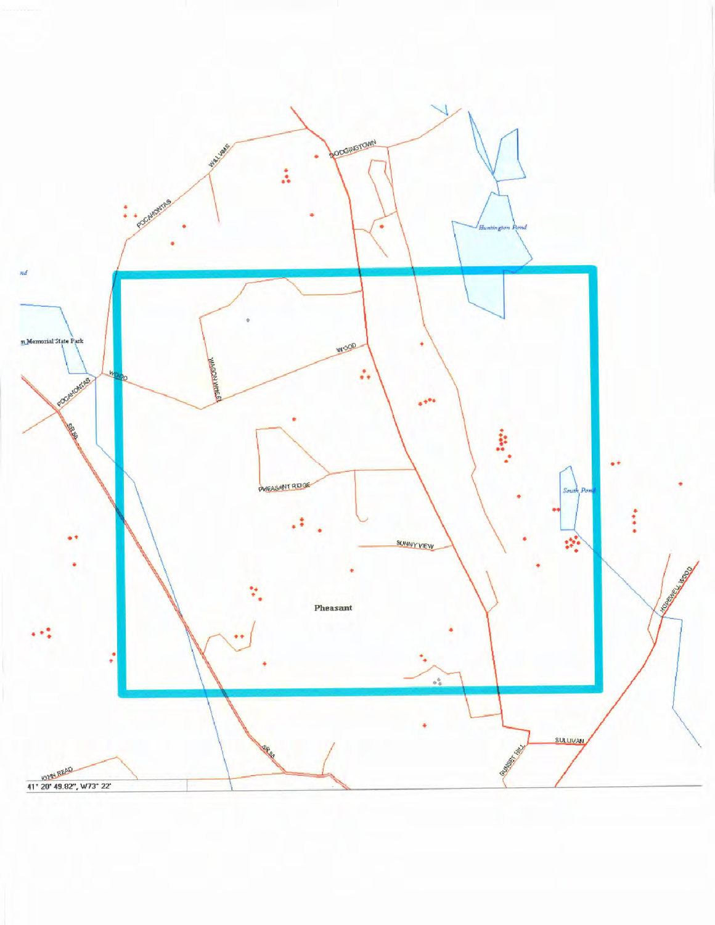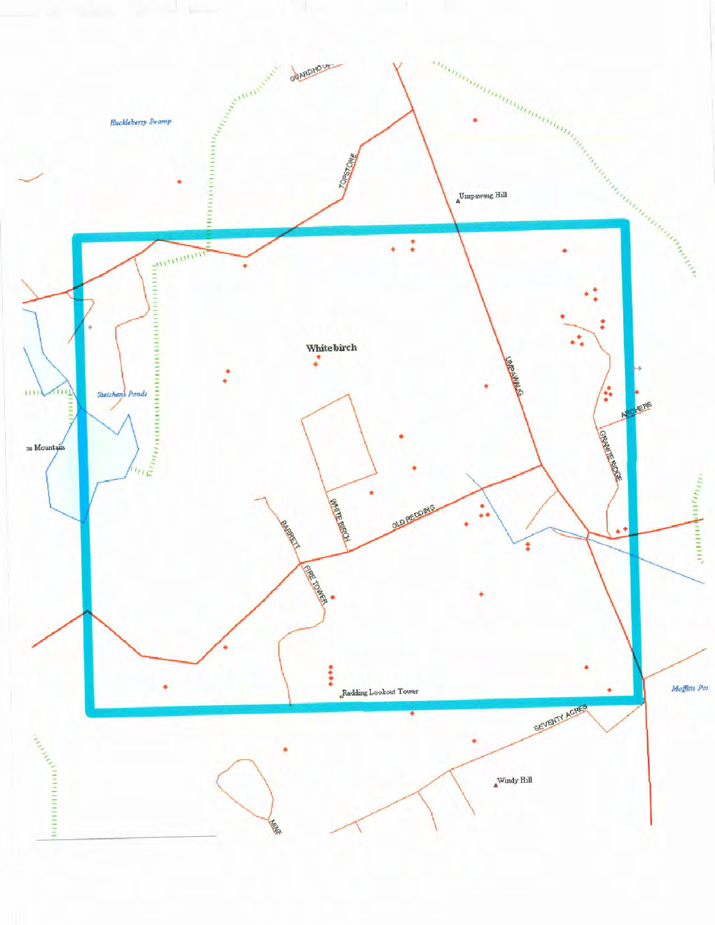![](_page_6_Figure_0.jpeg)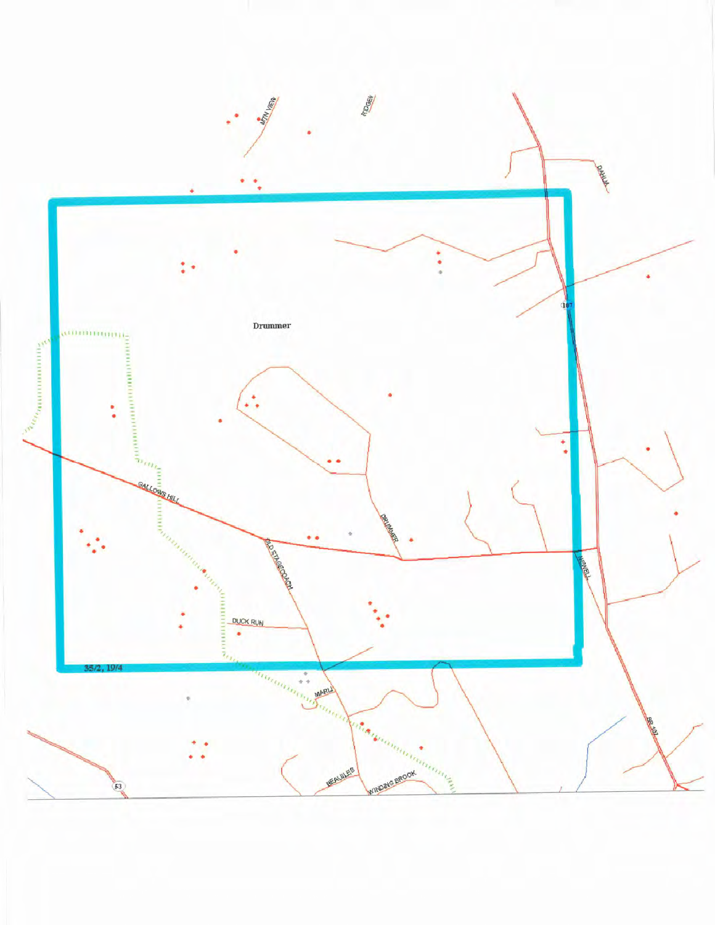![](_page_7_Figure_0.jpeg)